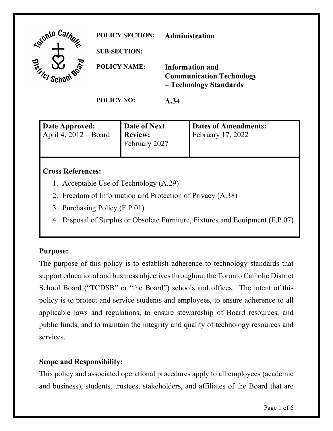

| Date Approved:<br>April 4, $2012 - Board$ | Date of Next<br><b>Review:</b><br>February 2027 | Dates of Amendments:<br>February $17, 2022$ |
|-------------------------------------------|-------------------------------------------------|---------------------------------------------|
|                                           |                                                 |                                             |

#### **Cross References:**

- 1. Acceptable Use of Technology (A.29)
- 2. Freedom of Information and Protection of Privacy (A.38)
- 3. Purchasing Policy (F.P.01)
- 4. Disposal of Surplus or Obsolete Furniture, Fixtures and Equipment (F.P.07)

#### **Purpose:**

 The purpose of this policy is to establish adherence to technology standards that policy is to protect and service students and employees, to ensure adherence to all support educational and business objectives throughout the Toronto Catholic District School Board ("TCDSB" or "the Board") schools and offices. The intent of this applicable laws and regulations, to ensure stewardship of Board resources, and public funds, and to maintain the integrity and quality of technology resources and services.

# **Scope and Responsibility:**

 This policy and associated operational procedures apply to all employees (academic and business), students, trustees, stakeholders, and affiliates of the Board that are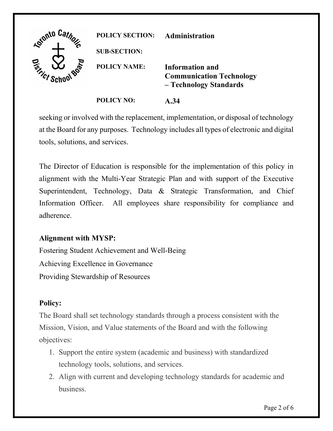

 seeking or involved with the replacement, implementation, or disposal of technology at the Board for any purposes. Technology includes all types of electronic and digital tools, solutions, and services.

 Superintendent, Technology, Data & Strategic Transformation, and Chief The Director of Education is responsible for the implementation of this policy in alignment with the Multi-Year Strategic Plan and with support of the Executive Information Officer. All employees share responsibility for compliance and adherence.

# **Alignment with MYSP:**

Fostering Student Achievement and Well-Being Achieving Excellence in Governance Providing Stewardship of Resources

# **Policy:**

 The Board shall set technology standards through a process consistent with the Mission, Vision, and Value statements of the Board and with the following objectives:

- 1. Support the entire system (academic and business) with standardized technology tools, solutions, and services.
- 2. Align with current and developing technology standards for academic and business.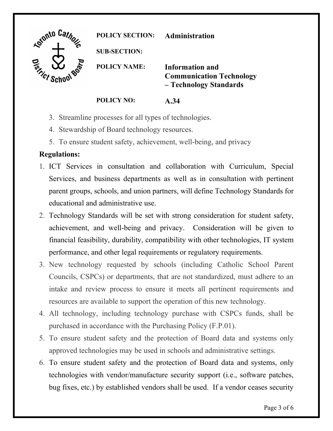

**POLICY SECTION: Administration** 

**SUB-SECTION:** 

**POLICY NAME: Information and Communication Technology – Technology Standards** 

**POLICY NO: A.34** 

- 3. Streamline processes for all types of technologies.
- 4. Stewardship of Board technology resources.
- 5. To ensure student safety, achievement, well-being, and privacy

#### **Regulations:**

- Services, and business departments as well as in consultation with pertinent parent groups, schools, and union partners, will define Technology Standards for 1. ICT Services in consultation and collaboration with Curriculum, Special educational and administrative use.
- achievement, and well-being and privacy. Consideration will be given to 2. Technology Standards will be set with strong consideration for student safety, financial feasibility, durability, compatibility with other technologies, IT system performance, and other legal requirements or regulatory requirements.
- Councils, CSPCs) or departments, that are not standardized, must adhere to an intake and review process to ensure it meets all pertinent requirements and 3. New technology requested by schools (including Catholic School Parent resources are available to support the operation of this new technology.
- 4. All technology, including technology purchase with CSPCs funds, shall be purchased in accordance with the Purchasing Policy (F.P.01).
- 5. To ensure student safety and the protection of Board data and systems only approved technologies may be used in schools and administrative settings.
- technologies with vendor/manufacture security support (i.e., software patches, 6. To ensure student safety and the protection of Board data and systems, only bug fixes, etc.) by established vendors shall be used. If a vendor ceases security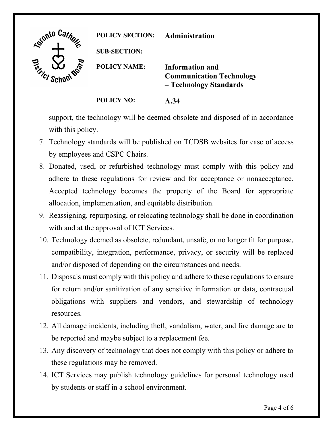

support, the technology will be deemed obsolete and disposed of in accordance with this policy.

- by employees and CSPC Chairs. 7. Technology standards will be published on TCDSB websites for ease of access
- adhere to these regulations for review and for acceptance or nonacceptance. allocation, implementation, and equitable distribution. 8. Donated, used, or refurbished technology must comply with this policy and Accepted technology becomes the property of the Board for appropriate
- 9. Reassigning, repurposing, or relocating technology shall be done in coordination. with and at the approval of ICT Services.
- and/or disposed of depending on the circumstances and needs. 10. Technology deemed as obsolete, redundant, unsafe, or no longer fit for purpose, compatibility, integration, performance, privacy, or security will be replaced
- resources. 11. Disposals must comply with this policy and adhere to these regulations to ensure for return and/or sanitization of any sensitive information or data, contractual obligations with suppliers and vendors, and stewardship of technology
- 12. All damage incidents, including theft, vandalism, water, and fire damage are to be reported and maybe subject to a replacement fee.
- these regulations may be removed. 13. Any discovery of technology that does not comply with this policy or adhere to
- 14. ICT Services may publish technology guidelines for personal technology used by students or staff in a school environment.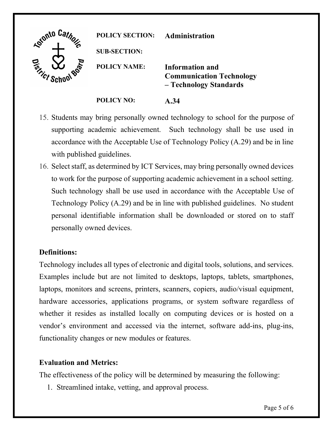| Gionto Car<br>" <sup>10 p</sup> | <b>POLICY SECTION:</b> | Administration                                                                      |
|---------------------------------|------------------------|-------------------------------------------------------------------------------------|
|                                 | <b>SUB-SECTION:</b>    |                                                                                     |
| <b>Finder School Boot</b>       | <b>POLICY NAME:</b>    | <b>Information and</b><br><b>Communication Technology</b><br>- Technology Standards |
|                                 | <b>POLICY NO:</b>      | A.34                                                                                |

- 15. Students may bring personally owned technology to school for the purpose of supporting academic achievement. Such technology shall be use used in accordance with the Acceptable Use of Technology Policy (A.29) and be in line with published guidelines.
- to work for the purpose of supporting academic achievement in a school setting. Such technology shall be use used in accordance with the Acceptable Use of personal identifiable information shall be downloaded or stored on to staff personally owned devices. 16. Select staff, as determined by ICT Services, may bring personally owned devices Technology Policy (A.29) and be in line with published guidelines. No student

# **Definitions:**

 Technology includes all types of electronic and digital tools, solutions, and services. Examples include but are not limited to desktops, laptops, tablets, smartphones, hardware accessories, applications programs, or system software regardless of laptops, monitors and screens, printers, scanners, copiers, audio/visual equipment, whether it resides as installed locally on computing devices or is hosted on a vendor's environment and accessed via the internet, software add-ins, plug-ins, functionality changes or new modules or features.

#### **Evaluation and Metrics:**

The effectiveness of the policy will be determined by measuring the following:

1. Streamlined intake, vetting, and approval process.